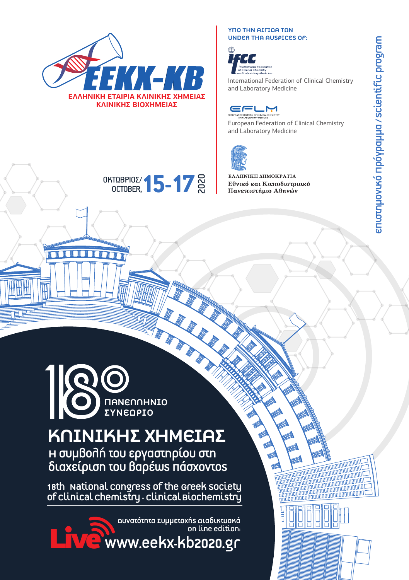

### ΥΠΟ ΤΗΝ ΑΙΓΙΛΑ ΤΟΝ UNDER THA AUSPICES OF:



International Federation of Clinical Chemistry and Laboratory Medicine

European Federation of Clinical Chemistry and Laboratory Medicine



ΟΚΤΩΒΡΙΟΣ/ OCTOBER,



Η συμβολή του εργαστηρίου στη διαχείριση του βαρέως πάσχοντος

The Transmission of the Greek Society of Clinical Congress of the Greek Society of Clinical Chemistry of Clinical Chemistry of Clinical Chemistry of Clinical Biochemistry and Chemistry of Clinical Chemistry of Clinical Che

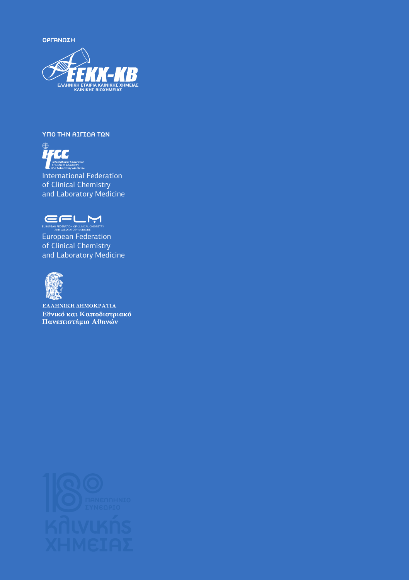ΟΡΓΑΝΩΣΗ



### ΥΠΟ ΤΗΝ ΑΙΓΙΔΑ ΤΩΝ



International Federation of Clinical Chemistry and Laboratory Medicine



European Federation of Clinical Chemistry and Laboratory Medicine



ΕΛΛΗΝΙΚΗ ΔΗΜΟΚΡΑΤΙΑ Εθνικό και Καποδιστριακό Πανεπιστήμιο Αθηνών

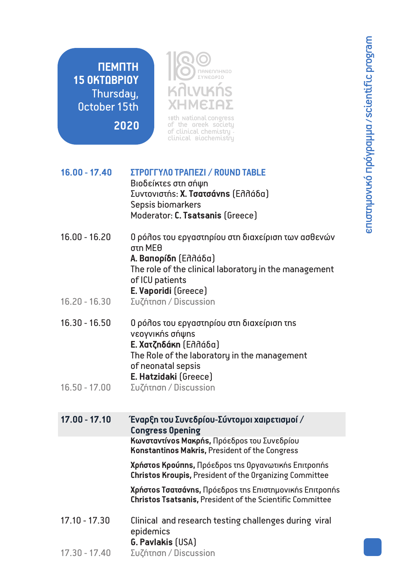**ΠΕΜΠΤΗ 15 ΟΚΤΩΒΡΙΟΥ** Thursday, October 15th

**2020**



18th National congress<br>of the Greek society of clinical chemistry -<br>Clinical Biochemistry

**16.00 - 17.40 ΣΤΡΟΓΓΥΛΟ ΤΡΑΠΕΖΙ / ROUND TABLE** Βιοδείκτες στη σήψη Συντονιστής: **Χ. Τσατσάνης** (Ελλάδα) Sepsis biomarkers Moderator: **C. Tsatsanis** (Greece) 16.00 - 16.20 Ο ρόλος του εργαστηρίου στη διαχείριση των ασθενών στη ΜΕΘ **Α. Βαπορίδη** (Ελλάδα) The role of the clinical laboratory in the management of ICU patients **E. Vaporidi** (Greece) 16.30 - 16.50 Ο ρόλος του εργαστηρίου στη διαχείριση της νεογνικής σήψης **Ε. Χατζηδάκη** (Ελλάδα) The Role of the laboratory in the management of neonatal sepsis **E. Hatzidaki** (Greece) 16.20 - 16.30 Συζήτηση / Discussion 16.50 - 17.00 Συζήτηση / Discussion **17.00 - 17.10 Έναρξη του Συνεδρίου-Σύντομοι χαιρετισμοί / Congress Opening**

**Κωνσταντίνος Μακρής,** Πρόεδρος του Συνεδρίου **Konstantinos Makris,** President of the Congress

**Χρήστος Κρούπης,** Πρόεδρος της Οργανωτικής Επιτροπής **Christos Kroupis,** President of the Organizing Committee

**Χρήστος Τσατσάνης,** Πρόεδρος της Επιστημονικής Επιτροπής **Christos Tsatsanis,** President of the Scientific Committee

- 17.10 17.30 Clinical and research testing challenges during viral epidemics **G. Pavlakis** (USA)
- 17.30 17.40 Συζήτηση / Discussion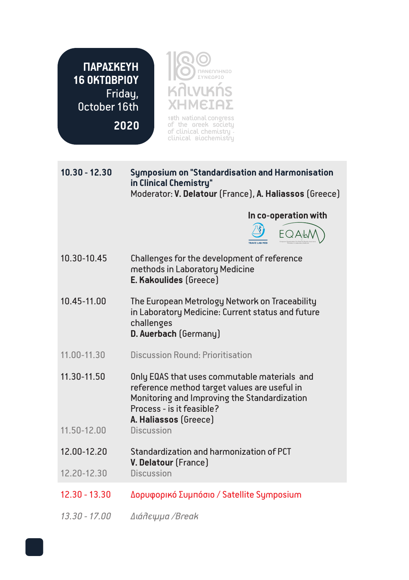**ΠΑΡΑΣΚΕΥΗ 16 ΟΚΤΩΒΡΙΟΥ** Friday, October 16th

**2020**

Κλινικής ΧΗΜΕΙΑΣ ΠΑΝΕΛΛΗΝΙΟ ΣΥΝΕΔΡΙΟ 18th National congress<br>of the Greek society of clinical chemistry -<br>Clinical Biochemistry

**10.30 - 12.30 Symposium on "Standardisation and Harmonisation in Clinical Chemistry"**  Moderator: **V. Delatour** (France), **A. Haliassos** (Greece)  **In co-operation with**  EQAM 10.30-10.45 Challenges for the development of reference methods in Laboratory Medicine **E. Kakoulides** (Greece) 10.45-11.00 The European Metrology Network on Traceability in Laboratory Medicine: Current status and future challenges **D. Auerbach** (Germany) 11.00-11.30 Discussion Round: Prioritisation 11.30-11.50 Only EQAS that uses commutable materials and reference method target values are useful in Monitoring and Improving the Standardization Process - is it feasible? **A. Haliassos** (Greece)  $11.50 - 12.00$ 12.00-12.20 Standardization and harmonization of PCT **V. Delatour** (France)  $12.20 - 12.30$ 12.30 - 13.30 Δορυφορικό Συμπόσιο / Satellite Symposium

*13.30 - 17.00 Διάλειμμα /Break*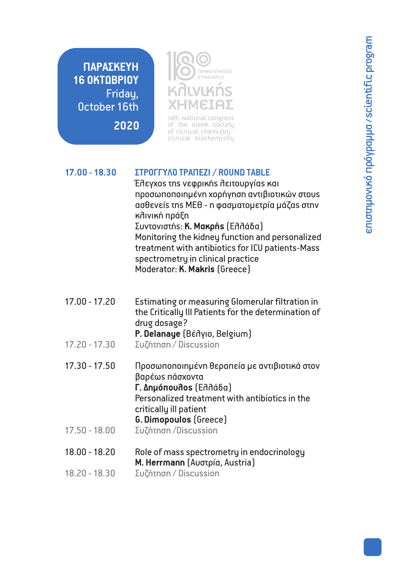**ΠΑΡΑΣΚΕΥΗ 16 ΟΚΤΩΒΡΙΟΥ** Friday, October 16th

**2020**



18th National Congress of clinical chemistry -<br>Clinical Biochemistry

### **17.00 - 18.30 ΣΤΡΟΓΓΥΛΟ ΤΡΑΠΕΖΙ / ROUND TABLE**

Έλεγχος της νεφρικής λειτουργίας και προσωποποιημένη χορήγηση αντιβιοτικών στους ασθενείς της ΜΕΘ - η φασματομετρία μάζας στην κλινική πράξη Συντονιστής: **Κ. Μακρής** (Ελλάδα) Μonitoring the kidney function and personalized treatment with antibiotics for ICU patients-Mass spectrometry in clinical practice Moderator: **K. Makris** (Greece)

- 17.00 17.20 Estimating or measuring Glomerular filtration in the Critically Ill Patients for the determination of drug dosage? **P. Delanaye** (Βέλγιο, Belgium)
- 17.20 17.30 Συζήτηση / Discussion
- 17.30 17.50 Προσωποποιημένη θεραπεία με αντιβιοτικά στον βαρέως πάσχοντα **Γ. Δημόπουλος** (Ελλάδα) Personalized treatment with antibiotics in the critically ill patient **G. Dimopoulos** (Greece)
- 17.50 18.00 Συζήτηση /Discussion
- 18.00 18.20 Role of mass spectrometry in endocrinology **M. Herrmann** (Αυστρία, Austria)
- 18.20 18.30 Συζήτηση / Discussion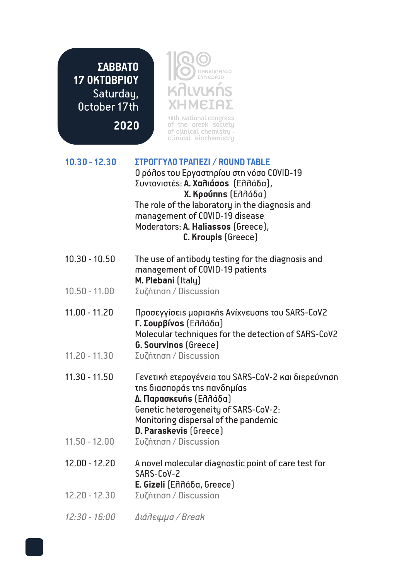**ΣΑΒΒΑΤΟ 17 ΟΚΤΩΒΡΙΟΥ** Saturday, October 17th

**2020**

Κλινικής ΧΗΜΕΙΑΣ ΠΑΝΕΛΛΗΝΙΟ ΣΥΝΕΔΡΙΟ

 $\odot$  $\circledcirc$ 

18th National Congress of the Greek Society of Clinical Chemistry - Clinical Biochemistry

| $10.30 - 12.30$ | ΣΤΡΟΓΓΥΛΟ ΤΡΑΠΕΖΙ / ROUND TABLE<br>0 ρόλοs του Εργαστηρίου στη νόσο COVID-19<br>Συντονιστές: A. Χαλιάσος (Ελλάδα),<br>X. Kρούπης (Ελλάδα)<br>The role of the laboratory in the diagnosis and<br>management of COVID-19 disease<br>Moderators: A. Haliassos (Greece),<br>C. Kroupis (Greece) |
|-----------------|---------------------------------------------------------------------------------------------------------------------------------------------------------------------------------------------------------------------------------------------------------------------------------------------|
| $10.30 - 10.50$ | The use of antibody testing for the diagnosis and<br>management of COVID-19 patients<br>M. Plebani (Italy)                                                                                                                                                                                  |
| $10.50 - 11.00$ | Συζήτηση / Discussion                                                                                                                                                                                                                                                                       |
| $11.00 - 11.20$ | Προσεγγίσειs μοριακήs Ανίχνευσης του SARS-CoV2<br>Γ. Σουρβίνοs (Ελλάδα)<br>Molecular techniques for the detection of SARS-CoV2<br><b>G. Sourvinos</b> (Greece)                                                                                                                              |
| $11.20 - 11.30$ | Συζήτηση / Discussion                                                                                                                                                                                                                                                                       |
| $11.30 - 11.50$ | Γενετική ετερογένεια του SARS-CoV-2 και διερεύνηση<br>της διασποράς της πανδημίας<br>Δ. Παρασκευής (Ελλάδα)<br>Genetic heterogeneity of SARS-CoV-2:<br>Monitoring dispersal of the pandemic<br>D. Paraskevis (Greece)                                                                       |
| $11.50 - 12.00$ | Συζήτηση / Discussion                                                                                                                                                                                                                                                                       |
| $12.00 - 12.20$ | A novel molecular diagnostic point of care test for<br>SARS-CoV-2<br>E. Gizeli (Ennába, Greece)                                                                                                                                                                                             |
| $12.20 - 12.30$ | Συζήτηση / Discussion                                                                                                                                                                                                                                                                       |
| 12:30 - 16:00   | Διάλεψμα / Break                                                                                                                                                                                                                                                                            |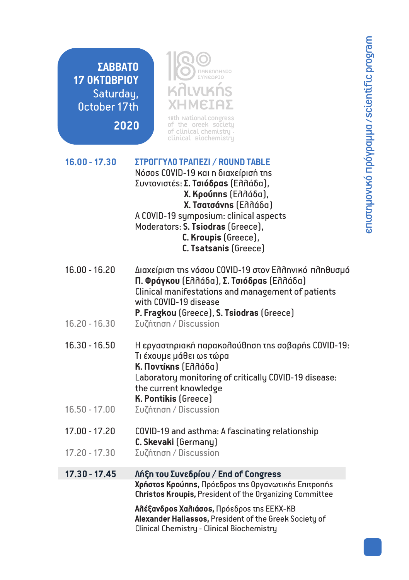**ΣΑΒΒΑΤΟ 17 ΟΚΤΩΒΡΙΟΥ** Saturday, October 17th

**2020**

Κλινικής ΧΗΜΕΙΑΣ ΠΑΝΕΛΛΗΝΙΟ ΣΥΝΕΔΡΙΟ

18th National Congress of clinical chemistry -<br>Clinical Biochemistry

| $16.00 - 17.30$ | ΣΤΡΟΓΓΥΛΟ ΤΡΑΠΕΖΙ / ROUND TABLE        |
|-----------------|----------------------------------------|
|                 | Νόσοs COVID-19 και η διαχείρισή της    |
|                 | Συντονιστέs: Σ. Τσιόδραs (Ελλάδα),     |
|                 | <b>Χ. Κρούπης</b> (Ελλάδα),            |
|                 | X. Tσατσάνης (Ελλάδα)                  |
|                 | A COVID-19 symposium: clinical aspects |
|                 | Moderators: S. Tsiodras (Greece),      |
|                 | C. Kroupis (Greece),                   |
|                 | C. Tsatsanis (Greece)                  |
|                 |                                        |

- 16.00 16.20 Διαχείριση της νόσου COVID-19 στον Ελληνικό πληθυσμό **Π. Φράγκου** (Ελλάδα), **Σ. Τσιόδρας** (Ελλάδα) Clinical manifestations and management of patients with COVID-19 disease **P. Fragkou** (Greece), **S. Tsiodras** (Greece)
- 16.20 16.30 Συζήτηση / Discussion
- 16.30 16.50 Η εργαστηριακή παρακολούθηση της σοβαρής COVID-19: Τι έχουμε μάθει ως τώρα **Κ. Ποντίκης** (Ελλάδα) Laboratory monitoring of critically COVID-19 disease: the current knowledge **K. Pontikis** (Greece)
- 16.50 17.00 Συζήτηση / Discussion
- 17.00 17.20 COVID-19 and asthma: A fascinating relationship **C. Skevaki** (Germany)
- 17.20 -17.30 Συζήτηση / Discussion

### **Χρήστος Κρούπης,** Πρόεδρος της Οργανωτικής Επιτροπής **Christos Kroupis,** President of the Organizing Committee **Αλέξανδρος Χαλιάσος,** Πρόεδρος της ΕΕΚΧ-ΚΒ **Alexander Haliassos,** President of the Greek Society of **17.30 - 17.45 Λήξη του Συνεδρίου / End of Congress**

Clinical Chemistry - Clinical Biochemistry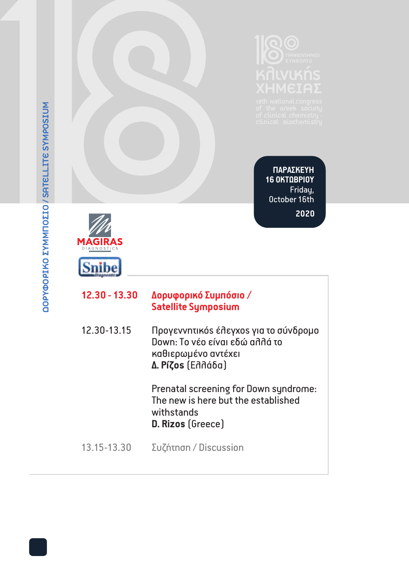**ΠΑΡΑΣΚΕΥΗ 16 ΟΚΤΩΒΡΙΟΥ** Friday, October 16th

**2020**



| 12.30 - 13.30 | Δορυφορικό Συμπόσιο /      |
|---------------|----------------------------|
|               | <b>Satellite Symposium</b> |

| 12.30-13.15 | Προγεννητικός έλεγχος για το σύνδρομο<br>Down: Το νέο είναι εδώ αλλά το<br>καθιερωμένο αντέχει |
|-------------|------------------------------------------------------------------------------------------------|
|             | Δ. Píζos (Ελλάδα)                                                                              |

Prenatal screening for Down syndrome: The new is here but the established withstands **D. Rizos** (Greece)

13.15-13.30 Συζήτηση / Discussion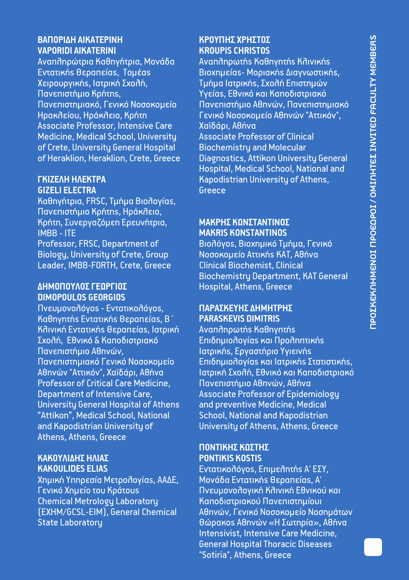# **ΒΑΠΟΡΙΔΗ ΑΙΚΑΤΕΡΙΝΗ ΚΡΟΥΠΗΣ ΧΡΗΣΤΟΣ**

Αναπληρώτρια Καθηγήτρια, Μονάδα<br>Εντατικής θεραπείας, Τομέας Εντατικής θεραπείας, Τομέας Βιοχημείας- Μοριακής Διαγνωστικής,<br>Σειρουργικής, Ιατρική Σχολή, Στολιατικής Διατρικής, Σχολή Επιστημών Χειρουργικής, Ιατρική Σχολή, Στουργικής, Σχολή Επιστημών<br>Τανεπιστήμιο Κρήτης, Τρατουργικής, Τρικής Συνημών, Τανεπιστήμιο Κρήτης, Πανεπιστήμιο Κρήτης, Υγείας, Εθνικό και Καποδιστριακό Associate Professor, Intensive Care Χαϊδάρι, Αθήνα<br>Medicine, Medical School, Universitu Associate Professor of Clinical Medicine, Medical School, University Associate Professor of Clinic<br>of Crete, University General Hospital Biochemistry and Molecular of Crete, University General Hospital<br>of Heraklion, Heraklion, Crete, Greece

# **GIZELI ELECTRA** Greece

Καθηγήτρια, FRSC, Τμήμα Βιολογίας, Πανεπιστήμιο Κρήτης, Ηράκλειο, Κρήτη, Συνεργαζόμεη Ερευνήτρια, **ΜΑΚΡΗΣ ΚΩΝΣΤΑΝΤΙΝΟΣ** ΙΜΒΒ - ΙΤΕ **MAKRIS KONSTANTINOS** Biology, University of Crete, Group Νοσοκομείο Αττικής ΚΑΤ, Αθ<br>Leader, IMBB-FORTH, Crete, Greece Clinical Biochemist, Clinical Leader, IMBB-FORTH, Crete, Greece

# **DIMOPOULOS GEORGIOS**

Πνευμονολόγος - Εντατικολόγος, **ΠΑΡΑΣΚΕΥΗΣ ΔΗΜΗΤΡΗΣ** Καθηγητής Εντατικής Θεραπείας, Β΄ **PARASKEVIS DIMITRIS** Κλινική Εντατικής Θεραπείας, Ιατρική<br>Σχολή, Εθνικό & Καποδιστοιακό Σχολή, Εθνικό & Καποδιστριακό Επιδημιολογίαs και Προληπτικής<br>Πανεπιστήμιο Αθηνών, Επιδημιορικής, Εργαστήριο Υγιεινής Πανεπιστήμιο Αθηνών, Ιατρικής, Εργαστήριο Υγιεινής<br>Πανεπιστημιακό Γενικό Νοσοκομείο Επιδημιολονίας και Ιατρικής Σ Professor of Critical Care Medicine,<br>Department of Intensive Care. University General Hospital of Athens and preventive Medicine, Medical and Kapodistrian University of University of Athens, Athens, Greece Athens, Athens, Greece

# **ΚΑΚΟΥΛΙΔΗΣ ΗΛΙΑΣ PONTIKIS KOSTIS**

Χημική Υπηρεσία Μετρολογίας, ΑΑΔΕ, Γενικό Χημείο του Κράτουs Γινευμονολογική Κλινική Εθνικού και Πνευμονολογική Κλινική Εθνικού και<br>Chemical Metrology Laboratory Γιατροφιατού Καποδιστοιακού Πανεπιστημίουι Chemical Metrology Laboratory Καποδιστριακού Πανεπιστημίουι

**VAPORIDI AIKATERINI KROUPIS CHRISTOS** Πανεπιστημιακό, Γενικό Νοσοκομείο Πανεπιστήμιο Αθηνών, Πανεπιστημιακό Γενικό Νοσοκομείο Αθηνών "Αττικόν",<br>Χαϊδάρι. Αθήνα Diagnostics, Attikon University General Hospital, Medical School, National and **ΓΚΙΖΕΛΗ ΗΛΕΚΤΡΑ** Κapodistrian University of Athens,

Bιολόγοs, Bιοχημικό Τμήμα, Γενικό<br>Νοσοκομείο Αττικήs ΚΑΤ. Αθήνα Biochemistry Department, KAT General **ΔΗΜΟΠΟΥΛΟΣ ΓΕΩΡΓΙΟΣ** Hospital, Athens, Greece

Πανεπιστημιακό Γενικό Νοσοκομείο Επιδημιολογίας και Ιατρικής Στατιστικής, Ιατρική Σχολή, Εθνικό και Καποδιστριακό<br>Πανεπιστήμιο Αθηνών, Αθήνα Associate Professor of Epidemiology School, National and Kapodistrian

# **ΠΟΝΤΙΚΗΣ ΚΩΣΤΗΣ**

<mark>Εντατικολόγοs, Επιμελητήs Α' ΕΣΥ,</mark><br>Μονάδα Εντατικήs θεραπείαs, Α' Aθηνών, Γενικό Νοσοκομείο Νοσημάτων State Laboratory Θώρακος Αθηνών «Η Σωτηρία», Αθήνα Intensivist, Intensive Care Medicine, General Hospital Thoracic Diseases "Sotiria", Athens, Greece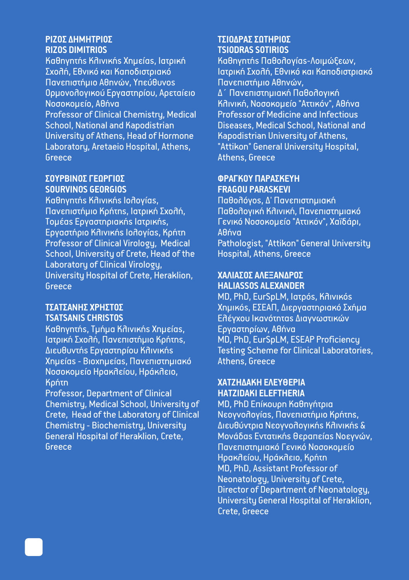Καθηγητής Κλινικής Χημείας, Ιατρική<br>Σχολή, Εθνικό και Καποδιστριακό Πανεπιστήμιο Αθηνών, Υπεύθυνος Πανεπιστήμιο Αθηνών, Ορμονολογικού Εργαστηρίου, Αρεταίειο<br>Νοσοκομείο. Αθήνα

Professor of Clinical Chemistry, Medical<br>School, National and Kapodistrian University of Athens, Head of Hormone Kapodistrian University of Athens,<br>Laboratory, Aretaeio Hospital, Athens, Fattikon'' General University Hospital, Laboratory, Aretaeio Hospital, Athens, "<br>Greece

# **ΣΟΥΡΒΙΝΟΣ ΓΕΩΡΓΙΟΣ ΦΡΑΓΚΟΥ ΠΑΡΑΣΚΕΥΗ**

**SOURVINOS GEORGIOS**<br>**Kαθηνητήs Κλινικήs Ιολονίαs.** Καθηγητής Κλινικής Ιολογίας, Παθολόγος, Δ' Πανεπιστημιακή Πανεπιστήμιο Κρήτηs, Ιατρική Σχολή, Παθολογική Κλινική, Πανεπιστημιακό<br>Τομέαs Ερναστηριακήs Ιατρικήs. Τενικό Νοσοκομείο "Αττικόν". Χαϊδάρι. Professor of Clinical Virology, Medical Pathologist, "Attikon" General School, University of Crete, Head of the Hospital, Athens, Greece School, University of Crete, Head of the Laboratoru of Clinical Virologu, University Hospital of Crete, Heraklion, **ΧΑΛΙΑΣΟΣ ΑΛΕΞΑΝΔΡΟΣ** Greece **HALIASSOS ALEXANDER**

Καθηγητής, Τμήμα Κλινικής Χημείας, Εργαστηρίων, Αθήνα Ιατρική Σχολή, Πανεπιστήμιο Κρήτηs,<br>Διευθυντήs Εργαστηρίου Κλινικήs Χημείας - Βιοχημείας, Πανεπιστημιακό Νοσοκομείο Ηρακλείου, Ηράκλειο,

Professor, Department of Clinical **HATZIDAKI ELEFTHERIA** Chemistry, Medical School, University of MD, PhD Επίκουρη Καθηγήτρια<br>Crete, Head of the Laboratory of Clinical Mεογνολογίαs, Πανεπιστήμιο Κρήτης, Crete, Head of the Laboratory of Clinical<br>Chemistry - Biochemistry, University Chemistry - Biochemistry, University Διευθύντρια Νεογνολογικής Κλινικής &

# **ΡΙΖΟΣ ΔΗΜΗΤΡΙΟΣ ΤΣΙΟΔΡΑΣ ΣΩΤΗΡΙΟΣ**

**RIZOS DIMITRIOS TSIODRAS SOTIRIOS** Ιατρική Σχολή, Εθνικό και Καποδιστριακό<br>Πανεπιστήμιο Αθηνών.

Κλινική, Νοσοκομείο "Αττικόν", Αθήνα<br>Professor of Medicine and Infectious Diseases, Medical School, National and<br>Kapodistrian Universitu of Athens. Athens, Greece

Γενικό Νοσοκομείο "Αττικόν", Χαϊδάρι,<br>Αθήνα Εργαστήριο Κλινικήs Ιολογίαs, Κρήτη Δθήνα<br>Professor of Clinical Virologu. Medical Pathologist. "Attikon" General Universitu

MD, PhD, EurSpLM, Ιατρός, Κλινικός **ΤΣΑΤΣΑΝΗΣ ΧΡΗΣΤΟΣ** Χημικός, ΕΣΕΑΠ, Διεργαστηριακό Σχήμα <mark>Ελέγχου Ικανότηταs Διαγνωστικών</mark><br>Εργαστηρίων, Αθήνα Testing Scheme for Clinical Laboratories,<br>Athens. Greece

# Κρήτη **ΧΑΤΖΗΔΑΚΗ ΕΛΕΥΘΕΡΙΑ**

General Hospital of Heraklion, Crete, Μονάδας Εντατικής θεραπείας Νοεγνών,<br>Greece Πανεπιστημιακό Γενικό Νοσοκομείο Πανεπιστημιακό Γενικό Νοσοκομείο Ηρακλείου, Ηράκλειο, Κρήτη MD, PhD, Assistant Professor of Neonatology, University of Crete, Director of Department of Neonatology, University General Hospital of Heraklion, Crete, Greece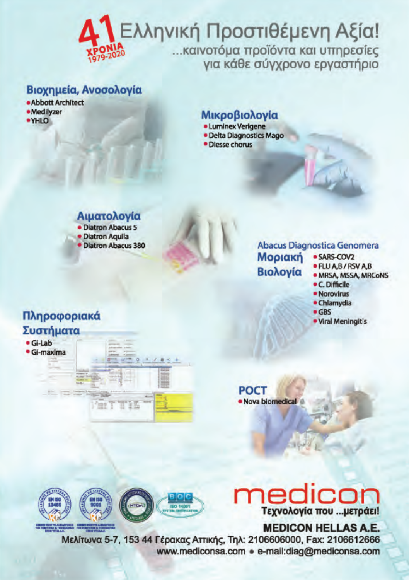## Ελληνική Προστιθέμενη Αξία! καινοτόμα προϊόντα και υπηρεσίες νια κάθε σύνχρονο εργαστήριο

### Βιοχημεία, Ανοσολογία

- · Abbott Architect
- · Medilyzer
- $O HVI$

### Μικροβιολογία

- · Luminex Verigene
- · Delta Diagnostics Mago
- · Diesse chorus

### Abacus Diagnostica Genomera

- **Μοριακή** Βιολογία
- · SARS-COV2
	- · FLU A,B / RSV A,B
	- · MRSA, MSSA, MRCoNS
	- C. Difficile
	- · Norovirus
	- · Chlamydia
	- $-$  GRS · Viral Meningitis

**POCT** · Nova biomedical

### Πληροφοριακά Συστήματα



Αιματολογία · Diatron Abacus 5 · Diatron Aguila

· Diatron Abacus 380

# Τεχνολογία που ... μετράει!

### **MEDICON HELLAS A.E.**

Μελίτωνα 5-7, 153 44 Γέρακας Αττικής, Τηλ: 2106606000, Fax: 2106612666 www.mediconsa.com · e-mail:diag@mediconsa.com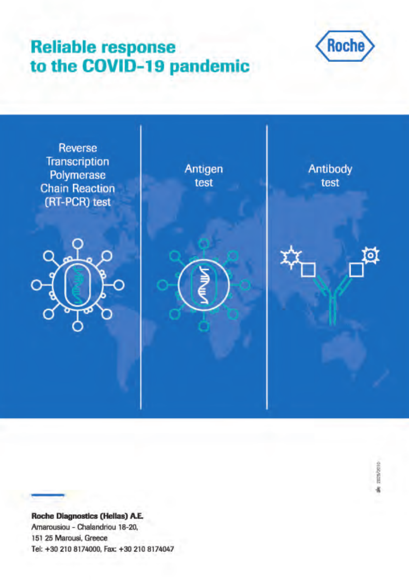## **Reliable response** to the COVID-19 pandemic





**Roche Diagnostics (Hellas) A.E.** Amarousiou - Chalandriou 18-20, 151 25 Marousi, Greece Tel: +30 210 8174000, Fax: +30 210 8174047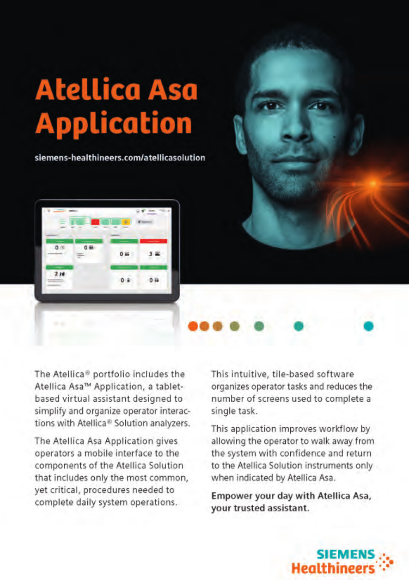# **Atellica Asa Application**

siemens-healthineers.com/atellicasolution





The Atellica<sup>®</sup> portfolio includes the Atellica Asa™ Application, a tabletbased virtual assistant designed to simplify and organize operator interactions with Atellica<sup>®</sup> Solution analyzers.

The Atellica Asa Application gives operators a mobile interface to the components of the Atellica Solution that includes only the most common, vet critical, procedures needed to complete daily system operations.

This intuitive, tile-based software organizes operator tasks and reduces the number of screens used to complete a single task.

This application improves workflow by allowing the operator to walk away from the system with confidence and return to the Atellica Solution instruments only when indicated by Atellica Asa.

Empower your day with Atellica Asa, your trusted assistant.

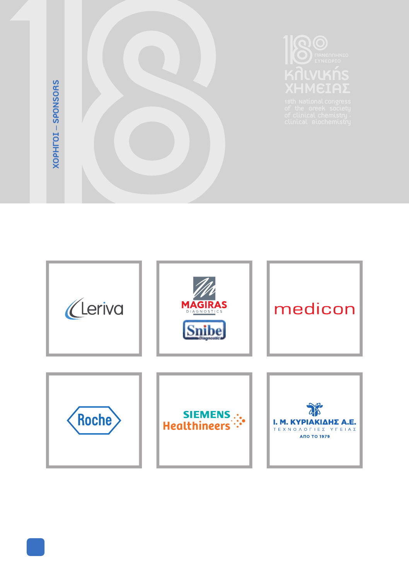